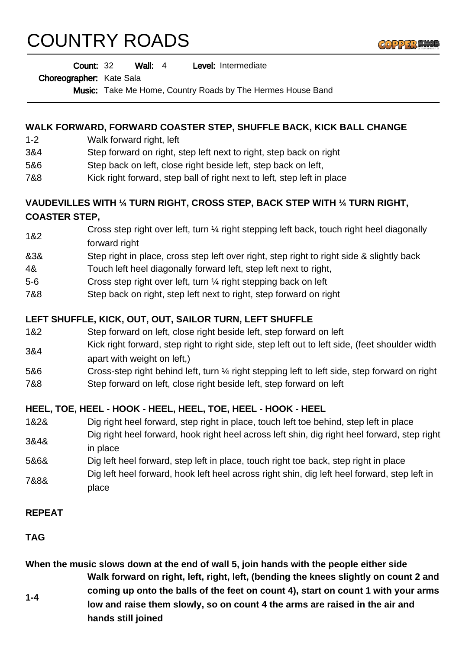# COUNTRY ROADS



Wall: 4 Level: Intermediate Count: 32

Choreographer: Kate Sala

Music: Take Me Home, Country Roads by The Hermes House Band

#### **WALK FORWARD, FORWARD COASTER STEP, SHUFFLE BACK, KICK BALL CHANGE**

- 1-2 Walk forward right, left
- 3&4 Step forward on right, step left next to right, step back on right
- 5&6 Step back on left, close right beside left, step back on left,
- 7&8 Kick right forward, step ball of right next to left, step left in place

## **VAUDEVILLES WITH ¼ TURN RIGHT, CROSS STEP, BACK STEP WITH ¼ TURN RIGHT, COASTER STEP,**

- 1&2 Cross step right over left, turn ¼ right stepping left back, touch right heel diagonally forward right
- &3& Step right in place, cross step left over right, step right to right side & slightly back
- 4& Touch left heel diagonally forward left, step left next to right,
- 5-6 Cross step right over left, turn ¼ right stepping back on left
- 7&8 Step back on right, step left next to right, step forward on right

#### **LEFT SHUFFLE, KICK, OUT, OUT, SAILOR TURN, LEFT SHUFFLE**

- 1&2 Step forward on left, close right beside left, step forward on left
- 3&4 Kick right forward, step right to right side, step left out to left side, (feet shoulder width apart with weight on left,)
- 5&6 Cross-step right behind left, turn ¼ right stepping left to left side, step forward on right 7&8 Step forward on left, close right beside left, step forward on left

### **HEEL, TOE, HEEL - HOOK - HEEL, HEEL, TOE, HEEL - HOOK - HEEL**

- 1&2& Dig right heel forward, step right in place, touch left toe behind, step left in place 3&4& Dig right heel forward, hook right heel across left shin, dig right heel forward, step right
- in place
- 5&6& Dig left heel forward, step left in place, touch right toe back, step right in place 7&8& Dig left heel forward, hook left heel across right shin, dig left heel forward, step left in place

#### **REPEAT**

**TAG**

**When the music slows down at the end of wall 5, join hands with the people either side 1-4 Walk forward on right, left, right, left, (bending the knees slightly on count 2 and coming up onto the balls of the feet on count 4), start on count 1 with your arms low and raise them slowly, so on count 4 the arms are raised in the air and hands still joined**